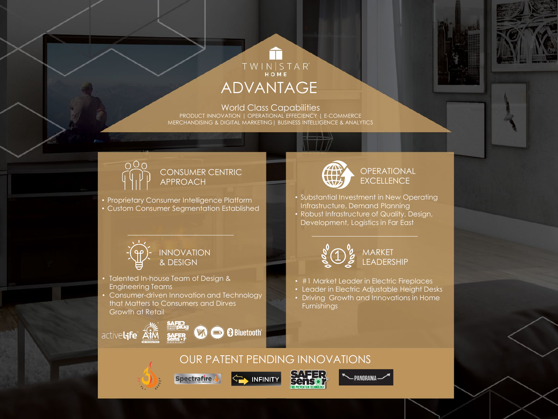## TWINSTAR<sup>®</sup> ADVANTAGE

World Class Capabilities PRODUCT INNOVATION | OPERATIONAL EFFECIENCY | E-COMMERCE MERCHANDISING & DIGITAL MARKETING| BUSINESS INTELLIGENCE & ANALYTICS



#### CONSUMER CENTRIC APPROACH

• Proprietary Consumer Intelligence Platform • Custom Consumer Segmentation Established



### **OPERATIONAL EXCELLENCE**

- Substantial Investment in New Operating Infrastructure, Demand Planning
- Robust Infrastructure of Quality, Design, Development, Logistics in Far East



- Talented In-house Team of Design & Engineering Teams
- Consumer-driven Innovation and Technology that Matters to Consumers and Dirves Growth at Retail

activel<sub>ife</sub> Aik







- #1 Market Leader in Electric Fireplaces
- Leader in Electric Adjustable Height Desks
- Driving Growth and Innovations in Home Furnishings



INFINITY







PANORAMA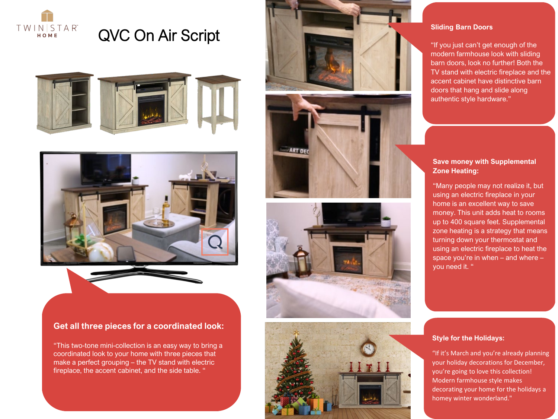

# QVC On Air Script





#### **Get all three pieces for a coordinated look:**

"This two-tone mini-collection is an easy way to bring a coordinated look to your home with three pieces that make a perfect grouping – the TV stand with electric fireplace, the accent cabinet, and the side table. "









#### **Sliding Barn Doors**

"If you just can't get enough of the modern farmhouse look with sliding barn doors, look no further! Both the TV stand with electric fireplace and the accent cabinet have distinctive barn doors that hang and slide along authentic style hardware."

#### **Save money with Supplemental Zone Heating:**

"Many people may not realize it, but using an electric fireplace in your home is an excellent way to save money. This unit adds heat to rooms up to 400 square feet. Supplemental zone heating is a strategy that means turning down your thermostat and using an electric fireplace to heat the space you're in when – and where – you need it. "

#### **Style for the Holidays:**

"If it's March and you're already planning your holiday decorations for December, you're going to love this collection! Modern farmhouse style makes decorating your home for the holidays a homey winter wonderland."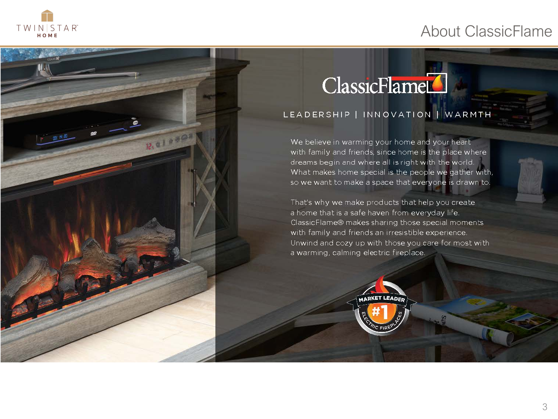## About ClassicFlame



 $R_1$  a 1 a s  $^{\circ}$ 

# ClassicFlame

## LEADERSHIP | INNOVATION | WARMTH

We believe in warming your home and your heart with family and friends, since home is the place where dreams begin and where all is right with the world. What makes home special is the people we gather with, so we want to make a space that everyone is drawn to.

That's why we make products that help you create a home that is a safe haven from everyday life. ClassicFlame® makes sharing those special moments with family and friends an irresistible experience. Unwind and cozy up with those you care for most with a warming, calming electric fireplace.